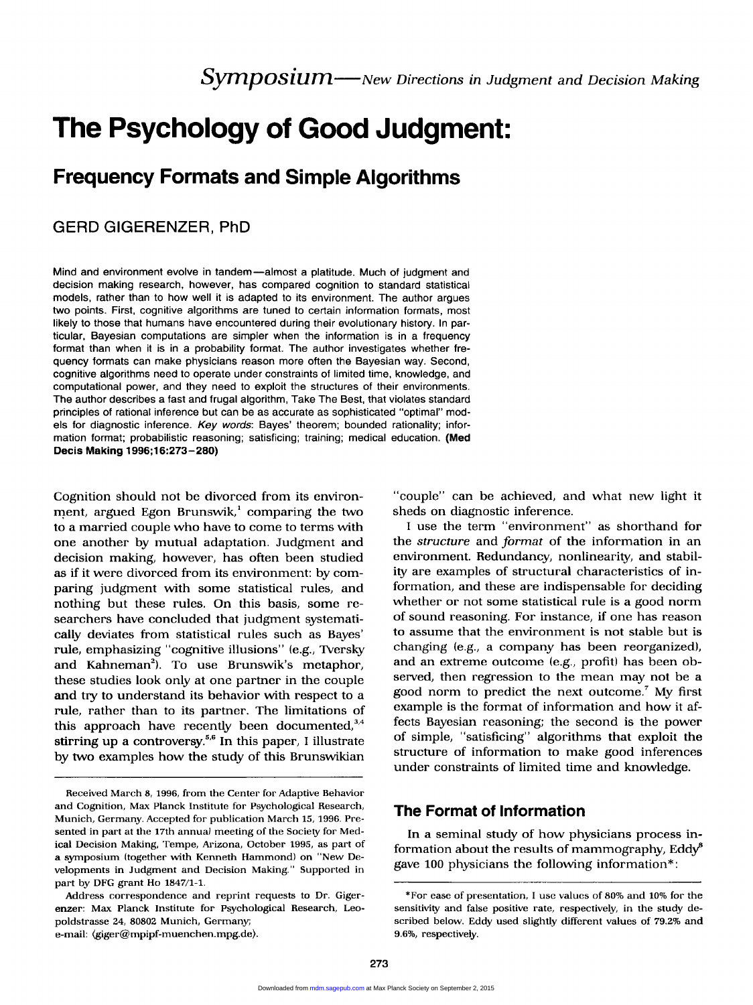# The Psychology of Good Judgment:

## Frequency Formats and Simple Algorithms

## GERD GIGERENZER, PhD

Mind and environment evolve in tandem—almost a platitude. Much of judgment and decision making research, however, has compared cognition to standard statistical models, rather than to how well it is adapted to its environment. The author argues two points. First, cognitive algorithms are tuned to certain information formats, most likely to those that humans have encountered during their evolutionary history. In particular, Bayesian computations are simpler when the information is in a frequency format than when it is in a probability format. The author investigates whether frequency formats can make physicians reason more often the Bayesian way. Second, cognitive algorithms need to operate under constraints of limited time, knowledge, and computational power, and they need to exploit the structures of their environments. The author describes a fast and frugal algorithm, Take The Best, that violates standard principles of rational inference but can be as accurate as sophisticated "optimal" models for diagnostic inference. Key words: Bayes' theorem; bounded rationality; information format; probabilistic reasoning; satisficing; training; medical education. (Med Decis Making 1996;16:273-280)

Cognition should not be divorced from its environment, argued Egon Brunswik, $^1$  comparing the two to a married couple who have to come to terms with one another by mutual adaptation. Judgment and decision making, however, has often been studied as if it were divorced from its environment: by comparing judgment with some statistical rules, and nothing but these rules. On this basis, some researchers have concluded that judgment systematically deviates from statistical rules such as Bayes' rule, emphasizing "cognitive illusions" (e.g., Tversky and Kahneman'). To use Brunswik's metaphor, these studies look only at one partner in the couple and try to understand its behavior with respect to a rule, rather than to its partner. The limitations of this approach have recently been documented,  $3,4$ stirring up a controversy.<sup>5,6</sup> In this paper, I illustrate by two examples how the study of this Brunswikian

Received March 8, 1996, from the Center for Adaptive Behavior and Cognition, Max Planck Institute for Psychological Research, Munich, Germany, Accepted for publication March 15, 1996. Presented in part at the 17th annual meeting of the Society for Medical Decision Making, Tempe, Arizona, October 1995, as part of a symposium (together with Kenneth Hammond) on "New Developments in Judgment and Decision Making." Supported in part by DFG grant Ho 1847/1-1.

Address correspondence and reprint requests to Dr. Gigerenzer: Max Planck Institute for Psychological Research, Leopoldstrasse 24, 80802 Munich, Germany; e-mail: (giger@mpipf-muenchen.mpg.de).

"couple" can be achieved, and what new light it sheds on diagnostic inference.

I use the term "environment" as shorthand for the structure and format of the information in an environment. Redundancy, nonlinearity, and stability are examples of structural characteristics of information, and these are indispensable for deciding whether or not some statistical rule is a good norm of sound reasoning. For instance, if one has reason to assume that the environment is not stable but is changing (e.g., a company has been reorganized), and an extreme outcome (e.g., profit) has been observed, then regression to the mean may not be a good norm to predict the next outcome.' My first example is the format of information and how it affects Bayesian reasoning; the second is the power of simple, "satisficing" algorithms that exploit the structure of information to make good inferences under constraints of limited time and knowledge.

## The Format of Information

In a seminal study of how physicians process information about the results of mammography,  $\text{Eddy}^{\text{s}}$ gave 100 physicians the following information\*:

<sup>\*</sup>For ease of presentation, I use values of 80% and 10% for the sensitivity and false positive rate, respectively, in the study described below. Eddy used slightly different values of 79.2% and 9.6%, respectively.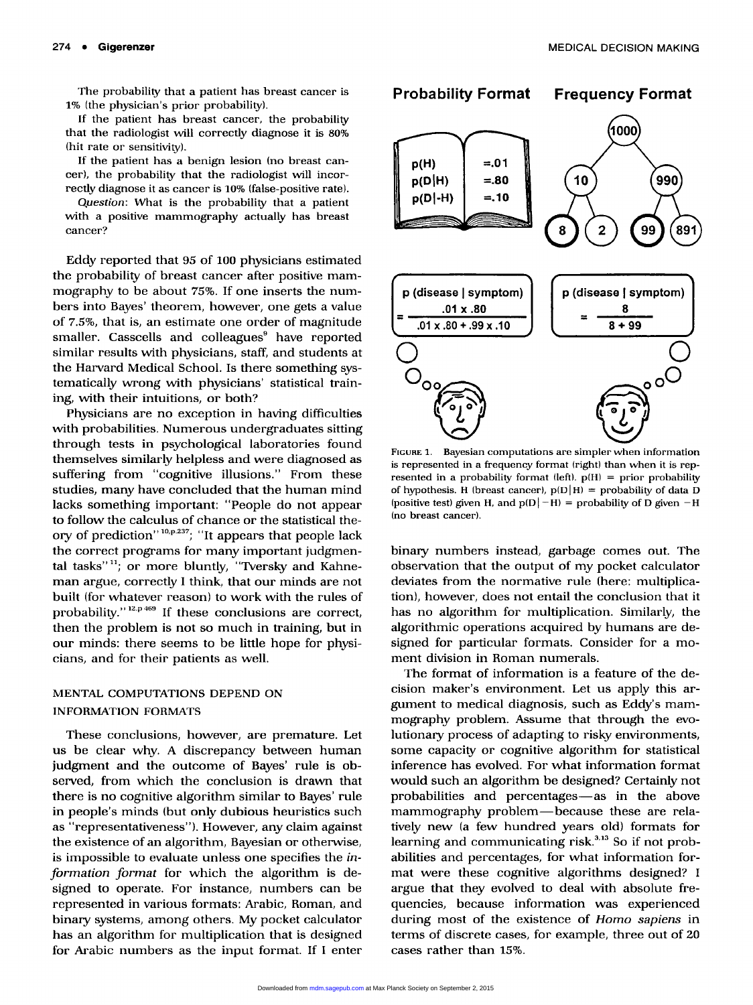The probability that a patient has breast cancer is 1% (the physician's prior probability).

If the patient has breast cancer, the probability that the radiologist will correctly diagnose it is 80% (hit rate or sensitivity).

If the patient has a benign lesion (no breast cancer), the probability that the radiologist will incorrectly diagnose it as cancer is 10% (false-positive rate).

Question: What is the probability that a patient with a positive mammography actually has breast cancer?

Eddy reported that 95 of 100 physicians estimated the probability of breast cancer after positive mammography to be about 75%. If one inserts the numbers into Bayes' theorem, however, one gets a value of 7.5%, that is, an estimate one order of magnitude smaller. Casscells and colleagues<sup>9</sup> have reported similar results with physicians, staff, and students at the Harvard Medical School. Is there something systematically wrong with physicians' statistical training, with their intuitions, or both?

Physicians are no exception in having difficulties with probabilities. Numerous undergraduates sitting through tests in psychological laboratories found themselves similarly helpless and were diagnosed as suffering from "cognitive illusions." From these studies, many have concluded that the human mind lacks something important: "People do not appear to follow the calculus of chance or the statistical theory of prediction"<sup>10,p,237</sup>; "It appears that people lack the correct programs for many important judgmental tasks" $\frac{11}{2}$ ; or more bluntly, "Tversky and Kahneman argue, correctly I think, that our minds are not built (for whatever reason) to work with the rules of probability." $12. p 469$  If these conclusions are correct, then the problem is not so much in training, but in our minds: there seems to be little hope for physicians, and for their patients as well.

## MENTAL COMPUTATIONS DEPEND ON INFORMATION FORMATS

These conclusions, however, are premature. Let us be clear why. A discrepancy between human judgment and the outcome of Bayes' rule is observed, from which the conclusion is drawn that there is no cognitive algorithm similar to Bayes' rule in people's minds (but only dubious heuristics such as "representativeness"). However, any claim against the existence of an algorithm, Bayesian or otherwise, is impossible to evaluate unless one specifies the information format for which the algorithm is designed to operate. For instance, numbers can be represented in various formats: Arabic, Roman, and binary systems, among others. My pocket calculator has an algorithm for multiplication that is designed for Arabic numbers as the input format. If I enter



FIGURE 1. Bayesian computations are simpler when information is represented in a frequency format (right) than when it is represented in a probability format (left).  $p(H) = prior probability$  of hypothesis. H (breast cancer),  $p(D|H) = probability of data D$ (positive test) given H, and  $p(D|-H) =$  probability of D given  $-H$ (no breast cancer).

binary numbers instead, garbage comes out. The observation that the output of my pocket calculator deviates from the normative rule (here: multiplication), however, does not entail the conclusion that it has no algorithm for multiplication. Similarly, the algorithmic operations acquired by humans are designed for particular formats. Consider for a moment division in Roman numerals.

The format of information is a feature of the decision maker's environment. Let us apply this argument to medical diagnosis, such as Eddy's mammography problem. Assume that through the evolutionary process of adapting to risky environments, some capacity or cognitive algorithm for statistical inference has evolved. For what information format would such an algorithm be designed? Certainly not probabilities and percentages-as in the above mammography problem-because these are relatively new (a few hundred years old) formats for learning and communicating risk. $3,13$  So if not probabilities and percentages, for what information format were these cognitive algorithms designed? I argue that they evolved to deal with absolute frequencies, because information was experienced during most of the existence of Homo sapiens in terms of discrete cases, for example, three out of 20 cases rather than 15%.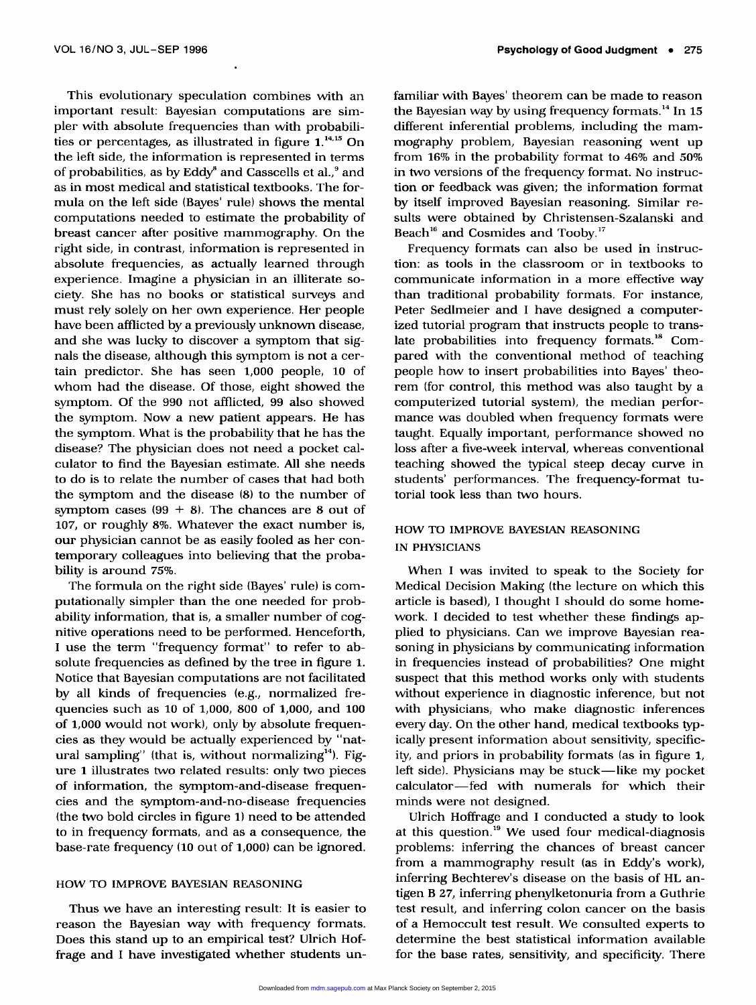This evolutionary speculation combines with an important result: Bayesian computations are simpler with absolute frequencies than with probabilities or percentages, as illustrated in figure 1.<sup>14,15</sup> On the left side, the information is represented in terms of probabilities, as by  $Eddy^s$  and Casscells et al., $9$  and as in most medical and statistical textbooks. The formula on the left side (Bayes' rule) shows the mental computations needed to estimate the probability of breast cancer after positive mammography. On the right side, in contrast, information is represented in absolute frequencies, as actually learned through experience. Imagine a physician in an illiterate society. She has no books or statistical surveys and must rely solely on her own experience. Her people have been afflicted by a previously unknown disease, and she was lucky to discover a symptom that signals the disease, although this symptom is not a certain predictor. She has seen 1,000 people, 10 of whom had the disease. Of those, eight showed the symptom. Of the 990 not afflicted, 99 also showed the symptom. Now a new patient appears. He has the symptom. What is the probability that he has the disease? The physician does not need a pocket calculator to find the Bayesian estimate. All she needs to do is to relate the number of cases that had both the symptom and the disease (8) to the number of symptom cases  $(99 + 8)$ . The chances are 8 out of 107, or roughly 8%. Whatever the exact number is, our physician cannot be as easily fooled as her contemporary colleagues into believing that the probability is around 75%.

The formula on the right side (Bayes' rule) is computationally simpler than the one needed for probability information, that is, a smaller number of cognitive operations need to be performed. Henceforth, I use the term "frequency format" to refer to absolute frequencies as defined by the tree in figure 1. Notice that Bayesian computations are not facilitated by all kinds of frequencies (e.g., normalized frequencies such as 10 of 1,000, 800 of 1,000, and 100 of 1,000 would not work), only by absolute frequencies as they would be actually experienced by "natural sampling" (that is, without normalizing $d^4$ ). Figure 1 illustrates two related results: only two pieces of information, the symptom-and-disease frequencies and the symptom-and-no-disease frequencies (the two bold circles in figure 1) need to be attended to in frequency formats, and as a consequence, the base-rate frequency (10 out of 1,000) can be ignored.

### HOW TO IMPROVE BAYESIAN REASONING

Thus we have an interesting result: It is easier to reason the Bayesian way with frequency formats. Does this stand up to an empirical test? Ulrich Hoffrage and I have investigated whether students unfamiliar with Bayes' theorem can be made to reason the Bayesian way by using frequency formats.<sup>14</sup> In 15 different inferential problems, including the mammography problem, Bayesian reasoning went up from 16% in the probability format to 46% and 50% in two versions of the frequency format. No instruction or feedback was given; the information format by itself improved Bayesian reasoning. Similar results were obtained by Christensen-Szalanski and Beach<sup>16</sup> and Cosmides and Tooby.<sup>17</sup>

Frequency formats can also be used in instruction: as tools in the classroom or in textbooks to communicate information in a more effective way than traditional probability formats. For instance, Peter Sedlmeier and I have designed a computerized tutorial program that instructs people to translate probabilities into frequency formats.<sup>18</sup> Compared with the conventional method of teaching people how to insert probabilities into Bayes' theorem (for control, this method was also taught by a computerized tutorial system), the median performance was doubled when frequency formats were taught. Equally important, performance showed no loss after a five-week interval, whereas conventional teaching showed the typical steep decay curve in students' performances. The frequency-format tutorial took less than two hours.

## HOW TO IMPROVE BAYESIAN REASONING IN PHYSICIANS

When I was invited to speak to the Society for Medical Decision Making (the lecture on which this article is based), I thought I should do some homework. I decided to test whether these findings applied to physicians. Can we improve Bayesian reasoning in physicians by communicating information in frequencies instead of probabilities? One might suspect that this method works only with students without experience in diagnostic inference, but not with physicians, who make diagnostic inferences every day. On the other hand, medical textbooks typically present information about sensitivity, specificity, and priors in probability formats (as in figure 1, left side). Physicians may be stuck—like my pocket calculator-fed with numerals for which their minds were not designed.

Ulrich Hoffrage and I conducted a study to look at this question.<sup>19</sup> We used four medical-diagnosis problems: inferring the chances of breast cancer from a mammography result (as in Eddy's work), inferring Bechterev's disease on the basis of HL antigen B 27, inferring phenylketonuria from a Guthrie test result, and inferring colon cancer on the basis of a Hemoccult test result. We consulted experts to determine the best statistical information available for the base rates, sensitivity, and specificity. There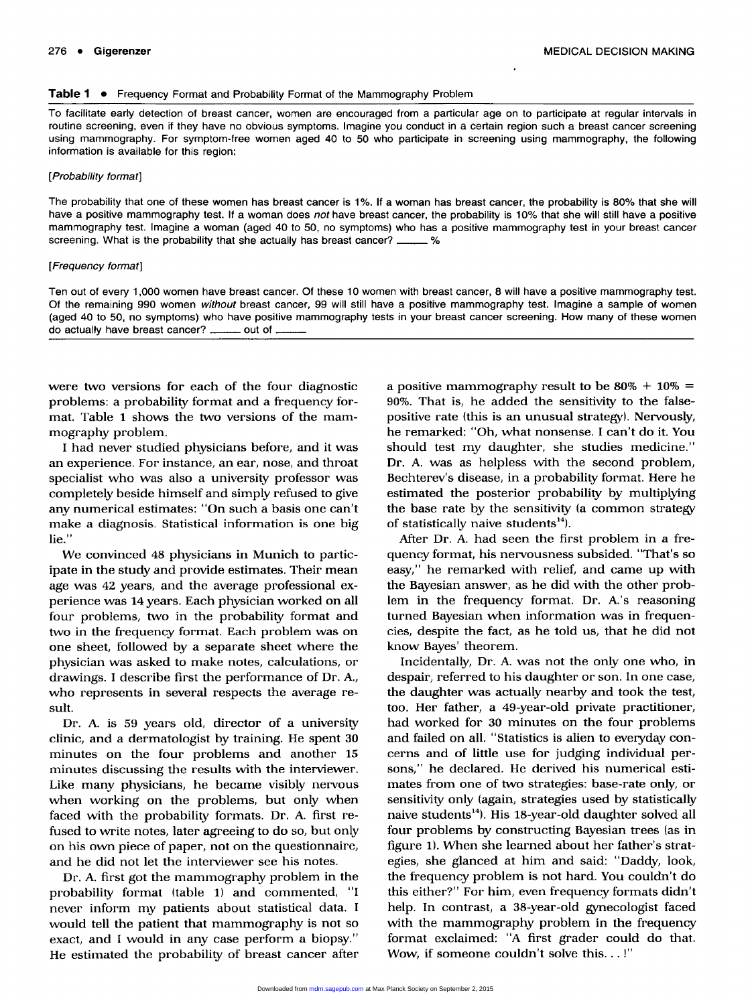#### Table 1 . Frequency Format and Probability Format of the Mammography Problem

To facilitate early detection of breast cancer, women are encouraged from a particular age on to participate at regular intervals in routine screening, even if they have no obvious symptoms. Imagine you conduct in a certain region such a breast cancer screening using mammography. For symptom-free women aged 40 to 50 who participate in screening using mammography, the following information is available for this region;

#### [Probability format]

The probability that one of these women has breast cancer is 1%. If a woman has breast cancer, the probability is 80% that she will have a positive mammography test. If a woman does not have breast cancer, the probability is 10% that she will still have a positive mammography test. Imagine a woman (aged 40 to 50, no symptoms) who has a positive mammography test in your breast cancer screening. What is the probability that she actually has breast cancer? - %

#### [Frequency format]

Ten out of every 1,000 women have breast cancer. Of these 10 women with breast cancer, 8 will have a positive mammography test. Of the remaining 990 women without breast cancer, 99 will still have a positive mammography test. Imagine a sample of women (aged 40 to 50, no symptoms) who have positive mammography tests in your breast cancer screening. How many of these women do actually have breast cancer? \_\_\_\_\_\_ out of.

were two versions for each of the four diagnostic problems: a probability format and a frequency format. Table 1 shows the two versions of the mammography problem.

I had never studied physicians before, and it was an experience. For instance, an ear, nose, and throat specialist who was also a university professor was completely beside himself and simply refused to give any numerical estimates: "On such a basis one can't make a diagnosis. Statistical information is one big  $lie.'$ 

We convinced 48 physicians in Munich to participate in the study and provide estimates. Their mean age was 42 years, and the average professional experience was 14 years. Each physician worked on all four problems, two in the probability format and two in the frequency format. Each problem was on one sheet, followed by a separate sheet where the physician was asked to make notes, calculations, or drawings. I describe first the performance of Dr. A., who represents in several respects the average result.

Dr. A. is 59 years old, director of a university clinic, and a dermatologist by training. He spent 30 minutes on the four problems and another 15 minutes discussing the results with the interviewer. Like many physicians, he became visibly nervous when working on the problems, but only when faced with the probability formats. Dr. A. first refused to write notes, later agreeing to do so, but only on his own piece of paper, not on the questionnaire, and he did not let the interviewer see his notes.

Dr. A. first got the mammography problem in the probability format (table 1) and commented, "I never inform my patients about statistical data. I would tell the patient that mammography is not so exact, and I would in any case perform a biopsy." He estimated the probability of breast cancer after a positive mammography result to be  $80\% + 10\% =$ 90%. That is, he added the sensitivity to the falsepositive rate (this is an unusual strategy). Nervously, he remarked: "Oh, what nonsense. I can't do it. You should test my daughter, she studies medicine." Dr. A. was as helpless with the second problem, Bechterev's disease, in a probability format. Here he estimated the posterior probability by multiplying the base rate by the sensitivity (a common strategy of statistically naive students $^{14}$ ).

After Dr. A. had seen the first problem in a frequency format, his nervousness subsided. "That's so easy," he remarked with relief, and came up with the Bayesian answer, as he did with the other problem in the frequency format. Dr. A.'s reasoning turned Bayesian when information was in frequencies, despite the fact, as he told us, that he did not know Bayes' theorem.

Incidentally, Dr. A. was not the only one who, in despair, referred to his daughter or son. In one case, the daughter was actually nearby and took the test, too. Her father, a 49-year-old private practitioner, had worked for 30 minutes on the four problems and failed on all. "Statistics is alien to everyday concerns and of little use for judging individual persons," he declared. He derived his numerical estimates from one of two strategies: base-rate only, or sensitivity only (again, strategies used by statistically naive students<sup>14</sup>). His 18-year-old daughter solved all four problems by constructing Bayesian trees (as in figure 1). When she learned about her father's strategies, she glanced at him and said: "Daddy, look, the frequency problem is not hard. You couldn't do this either?" For him, even frequency formats didn't help. In contrast, a 38-year-old gynecologist faced with the mammography problem in the frequency format exclaimed: "A first grader could do that. Wow, if someone couldn't solve this...!"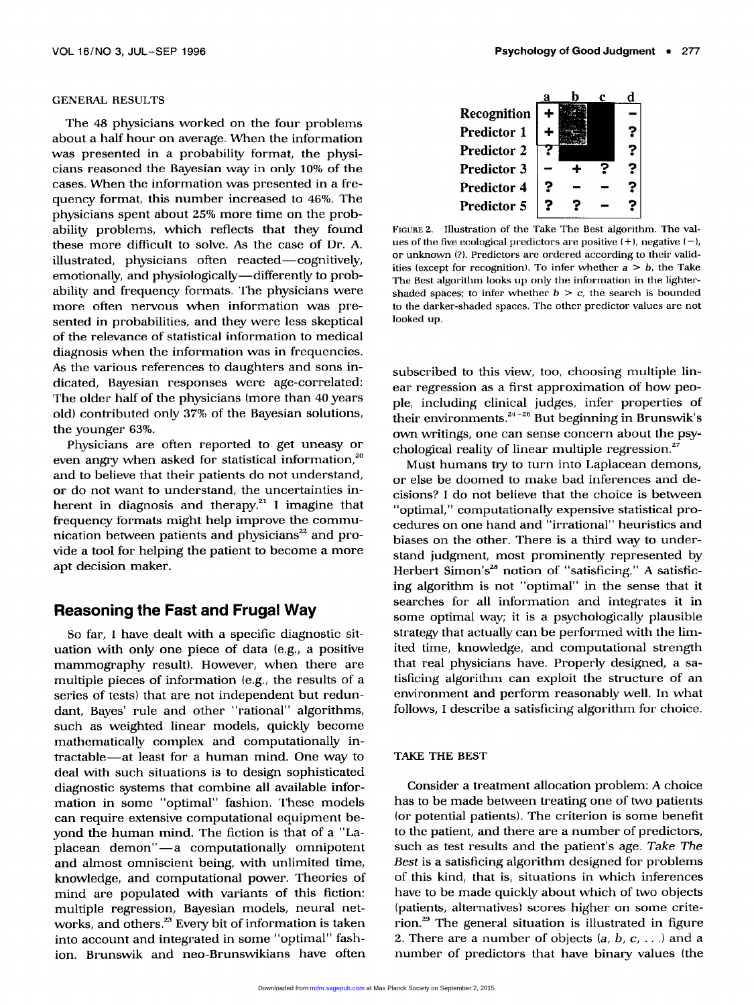#### GENERAL RESULTS

The 48 physicians worked on the four problems about a half hour on average. When the information was presented in a probability format, the physicians reasoned the Bayesian way in only 10% of the cases. When the information was presented in a frequency format, this number increased to 46%. The physicians spent about 25% more time on the probability problems, which reflects that they found these more difficult to solve. As the case of Dr. A. illustrated, physicians often reacted-cognitively, emotionally, and physiologically—differently to probability and frequency formats. The physicians were more often nervous when information was presented in probabilities, and they were less skeptical of the relevance of statistical information to medical diagnosis when the information was in frequencies. As the various references to daughters and sons indicated, Bayesian responses were age-correlated: The older half of the physicians (more than 40 years old) contributed only 37% of the Bayesian solutions, the younger 63%.

Physicians are often reported to get uneasy or even angry when asked for statistical information,<sup>20</sup> and to believe that their patients do not understand, or do not want to understand, the uncertainties inherent in diagnosis and therapy.<sup>21</sup> I imagine that frequency formats might help improve the communication between patients and physicians $22$  and provide a tool for helping the patient to become a more apt decision maker.

## Reasoning the Fast and Frugal Way

So far, I have dealt with a specific diagnostic situation with only one piece of data (e.g., a positive mammography result). However, when there are multiple pieces of information (e.g., the results of a series of tests) that are not independent but redundant, Bayes' rule and other "rational" algorithms, such as weighted linear models, quickly become mathematically complex and computationally intractable-at least for a human mind. One way to deal with such situations is to design sophisticated diagnostic systems that combine all available information in some "optimal" fashion. These models can require extensive computational equipment beyond the human mind. The fiction is that of a "Laplacean demon"-a computationally omnipotent and almost omniscient being, with unlimited time, knowledge, and computational power. Theories of mind are populated with variants of this fiction: multiple regression, Bayesian models, neural networks, and others.<sup>23</sup> Every bit of information is taken into account and integrated in some "optimal" fashion. Brunswik and neo-Brunswikians have often

| Recognition        |   |  |   |
|--------------------|---|--|---|
| Predictor 1        |   |  | ? |
| <b>Predictor 2</b> |   |  | ? |
| <b>Predictor 3</b> |   |  | 7 |
| <b>Predictor 4</b> | ? |  | 7 |
| <b>Predictor 5</b> |   |  |   |

FIGURE 2. Illustration of the Take The Best algorithm. The values of the five ecological predictors are positive  $(+)$ , negative  $(-)$ , or unknown (?). Predictors are ordered according to their validities (except for recognition). To infer whether  $a > b$ , the Take The Best algorithm looks up only the information in the lightershaded spaces; to infer whether  $b > c$ , the search is bounded to the darker-shaded spaces. The other predictor values are not looked up.

subscribed to this view, too, choosing multiple linear regression as a first approximation of how people, including clinical judges, infer properties of their environments. $24-26$  But beginning in Brunswik's own writings, one can sense concern about the psychological reality of linear multiple regression.<sup>27</sup>

Must humans try to turn into Laplacean demons, or else be doomed to make bad inferences and decisions ? I do not believe that the choice is between "optimal," computationally expensive statistical procedures on one hand and "irrational" heuristics and biases on the other. There is a third way to understand judgment, most prominently represented by Herbert Simon's<sup>28</sup> notion of "satisficing." A satisficing algorithm is not "optimal" in the sense that it searches for all information and integrates it in some optimal way; it is a psychologically plausible strategy that actually can be performed with the limited time, knowledge, and computational strength that real physicians have. Properly designed, a satisficing algorithm can exploit the structure of an environment and perform reasonably well. In what follows, I describe a satisficing algorithm for choice.

#### TAKE THE BEST

Consider a treatment allocation problem: A choice has to be made between treating one of two patients (or potential patients). The criterion is some benefit to the patient, and there are a number of predictors, such as test results and the patient's age. Take The Best is a satisficing algorithm designed for problems of this kind, that is, situations in which inferences have to be made quickly about which of two objects (patients, alternatives) scores higher on some criterion.29 The general situation is illustrated in figure 2. There are a number of objects  $(a, b, c, \ldots)$  and a number of predictors that have binary values (the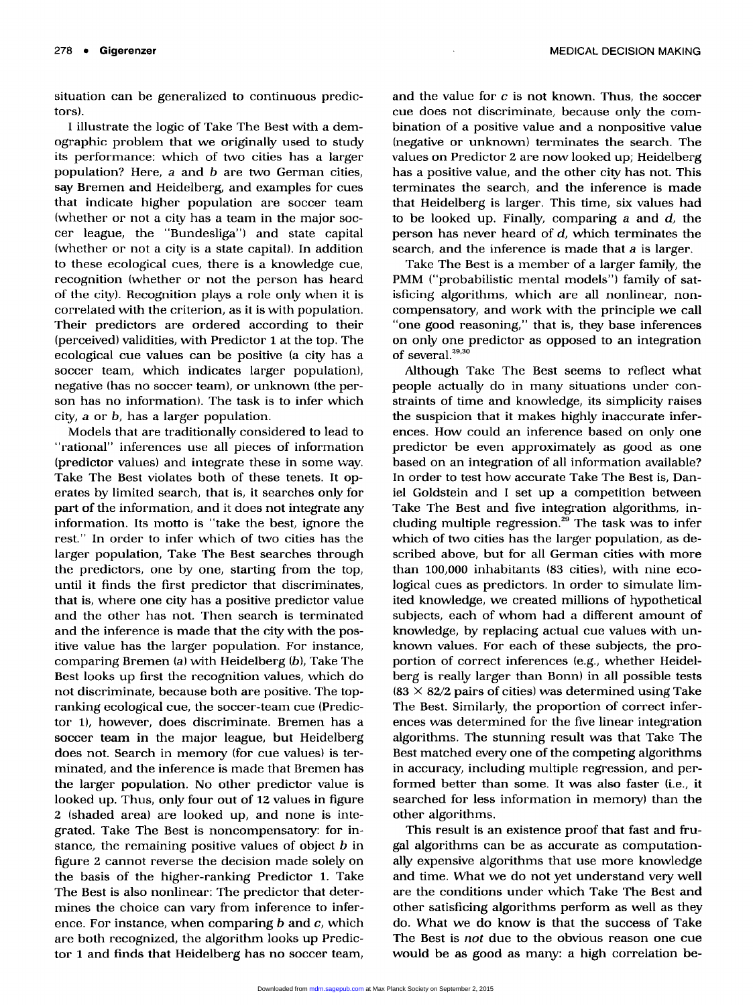situation can be generalized to continuous predictors).

I illustrate the logic of Take The Best with a demographic problem that we originally used to study its performance: which of two cities has a larger population? Here,  $a$  and  $b$  are two German cities, say Bremen and Heidelberg, and examples for cues that indicate higher population are soccer team (whether or not a city has a team in the major soccer league, the "Bundesliga") and state capital (whether or not a city is a state capital). In addition to these ecological cues, there is a knowledge cue, recognition (whether or not the person has heard of the city). Recognition plays a role only when it is correlated with the criterion, as it is with population. Their predictors are ordered according to their (perceived) validities, with Predictor 1 at the top. The ecological cue values can be positive (a city has a soccer team, which indicates larger population), negative (has no soccer team), or unknown (the person has no information). The task is to infer which city, a or b, has a larger population.

Models that are traditionally considered to lead to "rational" inferences use all pieces of information (predictor values) and integrate these in some way. Take The Best violates both of these tenets. It operates by limited search, that is, it searches only for part of the information, and it does not integrate any information. Its motto is "take the best, ignore the rest." In order to infer which of two cities has the larger population, Take The Best searches through the predictors, one by one, starting from the top, until it finds the first predictor that discriminates, that is, where one city has a positive predictor value and the other has not. Then search is terminated and the inference is made that the city with the positive value has the larger population. For instance, comparing Bremen (a) with Heidelberg (b), Take The Best looks up first the recognition values, which do not discriminate, because both are positive. The topranking ecological cue, the soccer-team cue (Predictor 1), however, does discriminate. Bremen has a soccer team in the major league, but Heidelberg does not. Search in memory (for cue values) is terminated, and the inference is made that Bremen has the larger population. No other predictor value is looked up. Thus, only four out of 12 values in figure 2 (shaded area) are looked up, and none is integrated. Take The Best is noncompensatory: for instance, the remaining positive values of object  $b$  in figure 2 cannot reverse the decision made solely on the basis of the higher-ranking Predictor 1. Take The Best is also nonlinear: The predictor that determines the choice can vary from inference to inference. For instance, when comparing  $b$  and  $c$ , which are both recognized, the algorithm looks up Predictor 1 and finds that Heidelberg has no soccer team,

and the value for  $c$  is not known. Thus, the soccer cue does not discriminate, because only the combination of a positive value and a nonpositive value (negative or unknown) terminates the search. The values on Predictor 2 are now looked up; Heidelberg has a positive value, and the other city has not. This terminates the search, and the inference is made that Heidelberg is larger. This time, six values had to be looked up. Finally, comparing  $a$  and  $d$ , the person has never heard of  $d$ , which terminates the search, and the inference is made that a is larger.

Take The Best is a member of a larger family, the PMM ("probabilistic mental models") family of satisficing algorithms, which are all nonlinear, noncompensatory, and work with the principle we call "one good reasoning," that is, they base inferences on only one predictor as opposed to an integration of several. $29,30$ 

Although Take The Best seems to reflect what people actually do in many situations under constraints of time and knowledge, its simplicity raises the suspicion that it makes highly inaccurate inferences. How could an inference based on only one predictor be even approximately as good as one based on an integration of all information available? In order to test how accurate Take The Best is, Daniel Goldstein and I set up a competition between Take The Best and five integration algorithms, including multiple regression.<sup>29</sup> The task was to infer which of two cities has the larger population, as described above, but for all German cities with more than 100,000 inhabitants (83 cities), with nine ecological cues as predictors. In order to simulate limited knowledge, we created millions of hypothetical subjects, each of whom had a different amount of knowledge, by replacing actual cue values with unknown values. For each of these subjects, the proportion of correct inferences (e.g., whether Heidelberg is really larger than Bonn) in all possible tests  $(83 \times 82/2)$  pairs of cities) was determined using Take The Best. Similarly, the proportion of correct inferences was determined for the five linear integration algorithms. The stunning result was that Take The Best matched every one of the competing algorithms in accuracy, including multiple regression, and performed better than some. It was also faster (i.e., it searched for less information in memory) than the other algorithms.

This result is an existence proof that fast and frugal algorithms can be as accurate as computationally expensive algorithms that use more knowledge and time. What we do not yet understand very well are the conditions under which Take The Best and other satisficing algorithms perform as well as they do. What we do know is that the success of Take The Best is not due to the obvious reason one cue would be as good as many: a high correlation be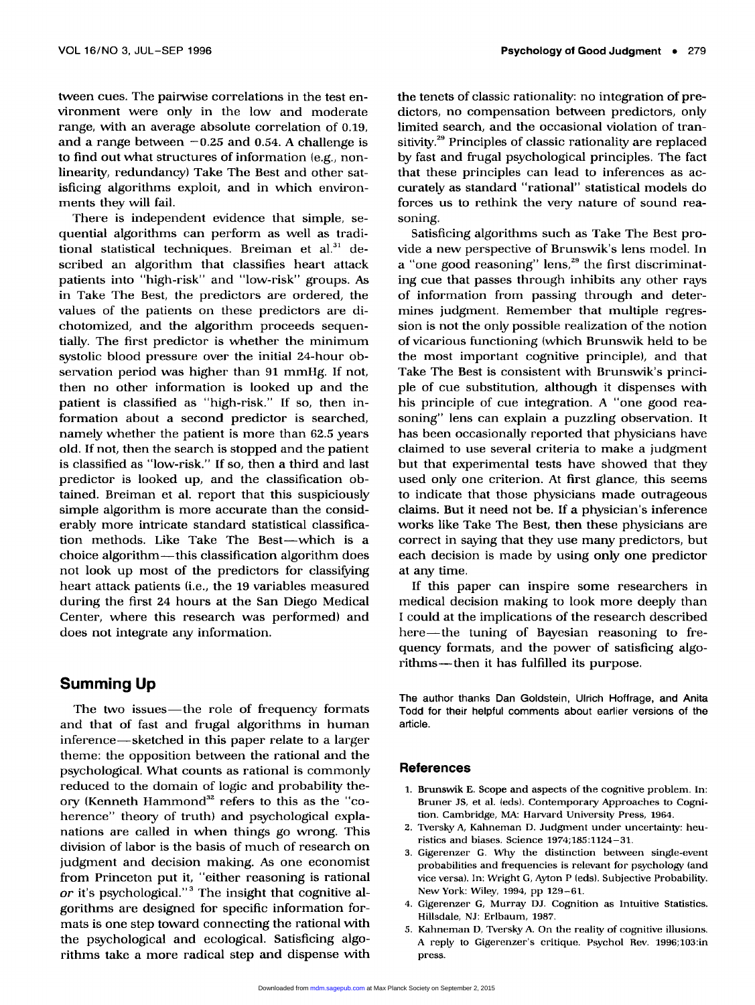tween cues. The pairwise correlations in the test environment were only in the low and moderate range, with an average absolute correlation of 0.19, and a range between  $-0.25$  and 0.54. A challenge is to find out what structures of information (e.g., nonlinearity, redundancy) Take The Best and other satisficing algorithms exploit, and in which environments they will fail.

There is independent evidence that simple, sequential algorithms can perform as well as traditional statistical techniques. Breiman et al. $31$  described an algorithm that classifies heart attack patients into "high-risk" and "low-risk" groups. As in Take The Best, the predictors are ordered, the values of the patients on these predictors are dichotomized, and the algorithm proceeds sequentially. The first predictor is whether the minimum systolic blood pressure over the initial 24-hour observation period was higher than 91 mmHg. If not, then no other information is looked up and the patient is classified as "high-risk." If so, then information about a second predictor is searched, namely whether the patient is more than 62.5 years old. If not, then the search is stopped and the patient is classified as "low-risk." If so, then a third and last predictor is looked up, and the classification obtained. Breiman et al. report that this suspiciously simple algorithm is more accurate than the considerably more intricate standard statistical classification methods. Like Take The Best-which is a choice algorithm-this classification algorithm does not look up most of the predictors for classifying heart attack patients (i.e., the 19 variables measured during the first 24 hours at the San Diego Medical Center, where this research was performed) and does not integrate any information.

## Summing Up

The two issues-the role of frequency formats and that of fast and frugal algorithms in human inference-sketched in this paper relate to a larger theme: the opposition between the rational and the psychological. What counts as rational is commonly reduced to the domain of logic and probability theory (Kenneth Hammond<sup>32</sup> refers to this as the "coherence" theory of truth) and psychological explanations are called in when things go wrong. This division of labor is the basis of much of research on judgment and decision making. As one economist from Princeton put it, "either reasoning is rational or it's psychological."<sup>3</sup> The insight that cognitive algorithms are designed for specific information formats is one step toward connecting the rational with the psychological and ecological. Satisficing algorithms take a more radical step and dispense with

the tenets of classic rationality: no integration of predictors, no compensation between predictors, only limited search, and the occasional violation of transitivity.<sup>29</sup> Principles of classic rationality are replaced by fast and frugal psychological principles. The fact that these principles can lead to inferences as accurately as standard "rational" statistical models do forces us to rethink the very nature of sound reasoning.

Satisficing algorithms such as Take The Best provide a new perspective of Brunswik's lens model. In a "one good reasoning" lens, $^{29}$  the first discriminating cue that passes through inhibits any other rays of information from passing through and determines judgment. Remember that multiple regression is not the only possible realization of the notion of vicarious functioning (which Brunswik held to be the most important cognitive principle), and that Take The Best is consistent with Brunswik's principle of cue substitution, although it dispenses with his principle of cue integration. A "one good reasoning" lens can explain a puzzling observation. It has been occasionally reported that physicians have claimed to use several criteria to make a judgment but that experimental tests have showed that they used only one criterion. At first glance, this seems to indicate that those physicians made outrageous claims. But it need not be. If a physician's inference works like Take The Best, then these physicians are correct in saying that they use many predictors, but each decision is made by using only one predictor at any time.

If this paper can inspire some researchers in medical decision making to look more deeply than I could at the implications of the research described here-the tuning of Bayesian reasoning to frequency formats, and the power of satisficing algorithms-then it has fulfilled its purpose.

The author thanks Dan Goldstein, Ulrich Hoffrage, and Anita Todd for their helpful comments about earlier versions of the article.

## References

- 1. Brunswik E. Scope and aspects of the cognitive problem. In Bruner JS, et al. (eds). Contemporary Approaches to Cogni tion. Cambridge, MA: Harvard University Press, 1964.
- 2. Tversky A, Kahneman D. Judgment under uncertainty: heuristics and biases. Science 1974;185:1124-31.
- 3. Gigerenzer G Why the distinction between single-event probabilities and frequencies is relevant for psychology (and vice versa). In: Wright G, Ayton P (eds). Subjective Probability.<br>New York: Wiley, 1994, pp 129–61.
- 4. Gigerenzer G, Murray DJ. Cognition as Intuitive Statistics. Hillsdale, NJ: Erlbaum, 1987.
- 5. Kahneman D, Tversky A. On the reality of cognitive illusions. A reply to Gigerenzer's critique. Psychol Rev. 1996;103:in press.